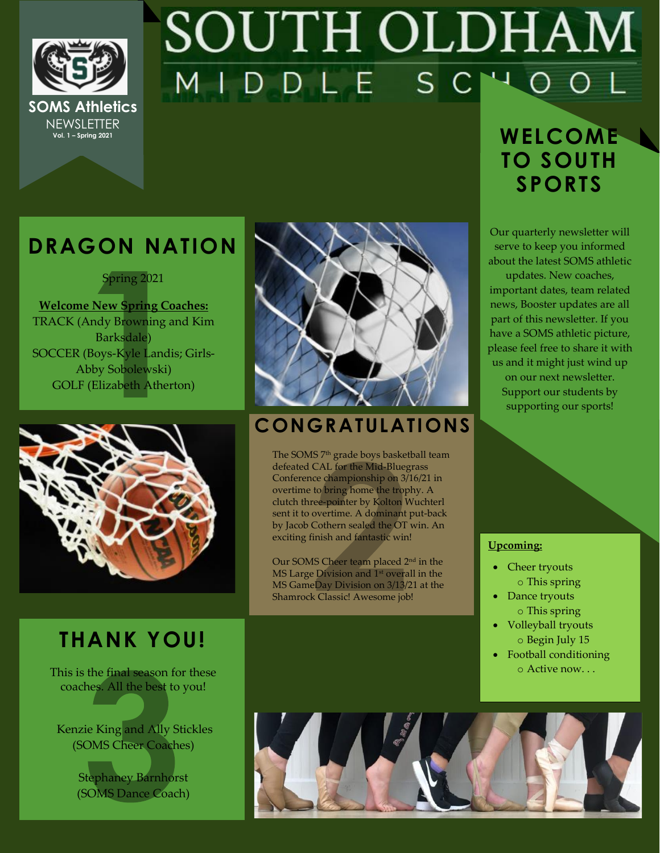

## SOUTH OLDHAM MIDDLE SC

### **DRAGON NATION**

Spring 2021

**Welcome New Spring Coaches:**  TRACK (Andy Browning and Kim Barksdale) SOCCER (Boys-Kyle Landis; Girls-Abby Sobolewski) GOLF (Elizabeth Atherton)



### **CONGRATULATIONS**

The SOMS 7<sup>th</sup> grade boys basketball team defeated CAL for the Mid-Bluegrass Conference championship on 3/16/21 in overtime to bring home the trophy. A clutch three-pointer by Kolton Wuchterl sent it to overtime. A dominant put-back by Jacob Cothern sealed the OT win. An exciting finish and fantastic win!

Our SOMS Cheer team placed 2<sup>nd</sup> in the MS Large Division and 1<sup>st</sup> overall in the MS GameDay Division on 3/13/21 at the Shamrock Classic! Awesome job!

### $WELCOME$ **TO SOUTH SPORTS**

Our quarterly newsletter will serve to keep you informed about the latest SOMS athletic

updates. New coaches, important dates, team related news, Booster updates are all part of this newsletter. If you have a SOMS athletic picture, please feel free to share it with us and it might just wind up on our next newsletter. Support our students by supporting our sports!

### **Upcoming:**

- Cheer tryouts o This spring
- Dance tryouts o This spring
- Volleyball tryouts o Begin July 15
- Football conditioning o Active now. . .



This is the final season for these coaches. All the best to you!

Kenzie King and Ally Stickles (SOMS Cheer Coaches)

> Stephaney Barnhorst (SOMS Dance Coach)

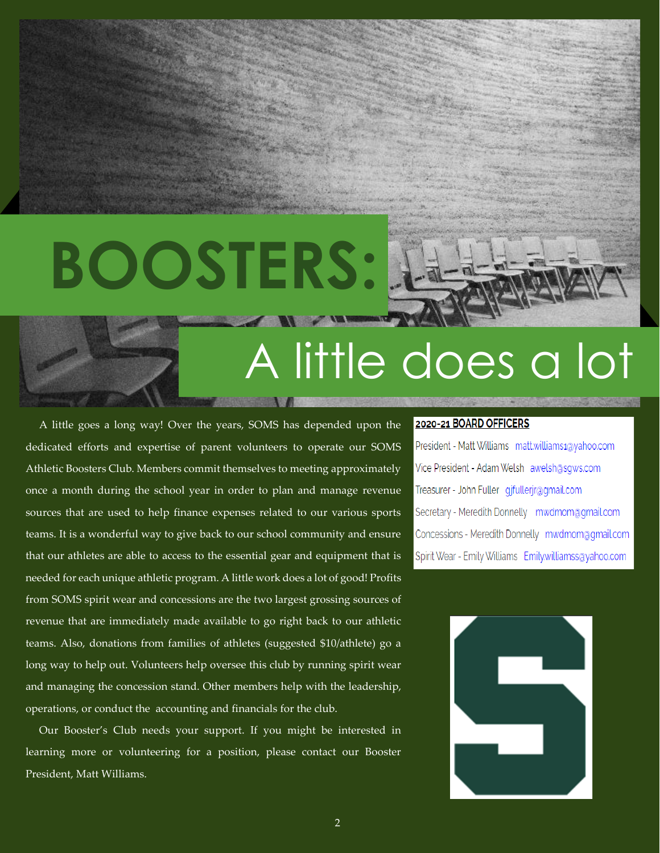# **BOOSTERS:**



## A little does a lot

 A little goes a long way! Over the years, SOMS has depended upon the dedicated efforts and expertise of parent volunteers to operate our SOMS Athletic Boosters Club. Members commit themselves to meeting approximately once a month during the school year in order to plan and manage revenue sources that are used to help finance expenses related to our various sports teams. It is a wonderful way to give back to our school community and ensure that our athletes are able to access to the essential gear and equipment that is needed for each unique athletic program. A little work does a lot of good! Profits from SOMS spirit wear and concessions are the two largest grossing sources of revenue that are immediately made available to go right back to our athletic teams. Also, donations from families of athletes (suggested \$10/athlete) go a long way to help out. Volunteers help oversee this club by running spirit wear and managing the concession stand. Other members help with the leadership, operations, or conduct the accounting and financials for the club.

 Our Booster's Club needs your support. If you might be interested in learning more or volunteering for a position, please contact our Booster President, Matt Williams.

### 2020-21 BOARD OFFICERS

President - Matt Williams matt.williams1@yahoo.com Vice President - Adam Welsh awelsh@sgws.com Treasurer - John Fuller gjfullerjr@gmail.com Secretary - Meredith Donnelly mwdmom@gmail.com Concessions - Meredith Donnelly mwdmom@qmail.com Spirit Wear - Emily Williams Emily.williamss@yahoo.com

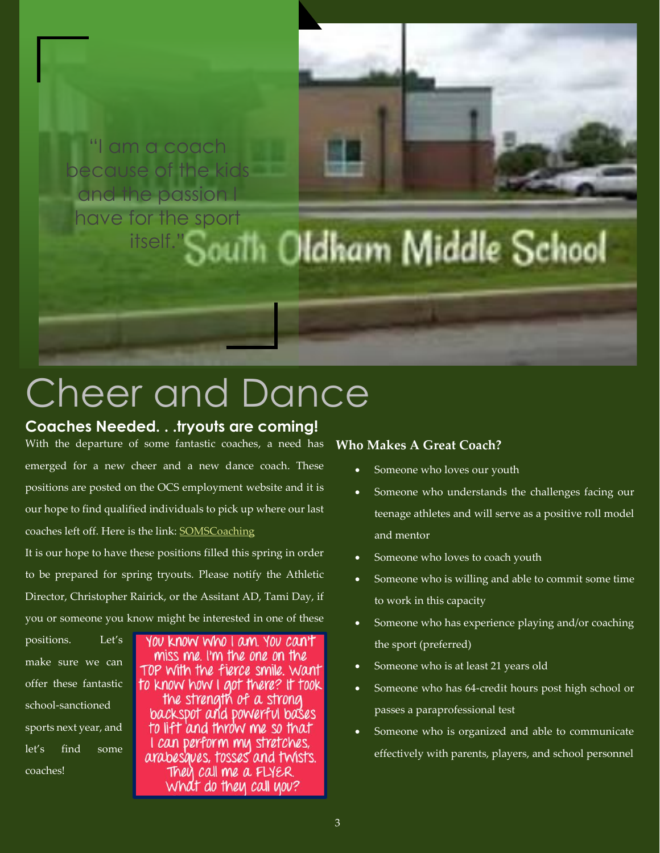

### Cheer and Dance

### **Coaches Needed. . .tryouts are coming!**

With the departure of some fantastic coaches, a need has emerged for a new cheer and a new dance coach. These positions are posted on the OCS employment website and it is our hope to find qualified individuals to pick up where our last coaches left off. Here is the link[: SOMSCoaching](https://www.applitrack.com/oldham/onlineapp/default.aspx?Category=Athletics%2fActivities)

It is our hope to have these positions filled this spring in order to be prepared for spring tryouts. Please notify the Athletic Director, Christopher Rairick, or the Assitant AD, Tami Day, if you or someone you know might be interested in one of these

positions. Let's make sure we can offer these fantastic school-sanctioned sports next year, and let's find some coaches!

YOU KNOW Who I am YOU CAN'T miss me. I'm the one on the TOP With the fierce smile. Want to know how I got there? It took the strength of a strong backspot and powerful bases to lift and throw me so that I can perform my stretches, arabesques, tosses and twists. They call me a FLYER. What do they call you?

### **Who Makes A Great Coach?**

- Someone who loves our youth
- Someone who understands the challenges facing our teenage athletes and will serve as a positive roll model and mentor
- Someone who loves to coach youth
- Someone who is willing and able to commit some time to work in this capacity
- Someone who has experience playing and/or coaching the sport (preferred)
- Someone who is at least 21 years old
- Someone who has 64-credit hours post high school or passes a paraprofessional test
- Someone who is organized and able to communicate effectively with parents, players, and school personnel